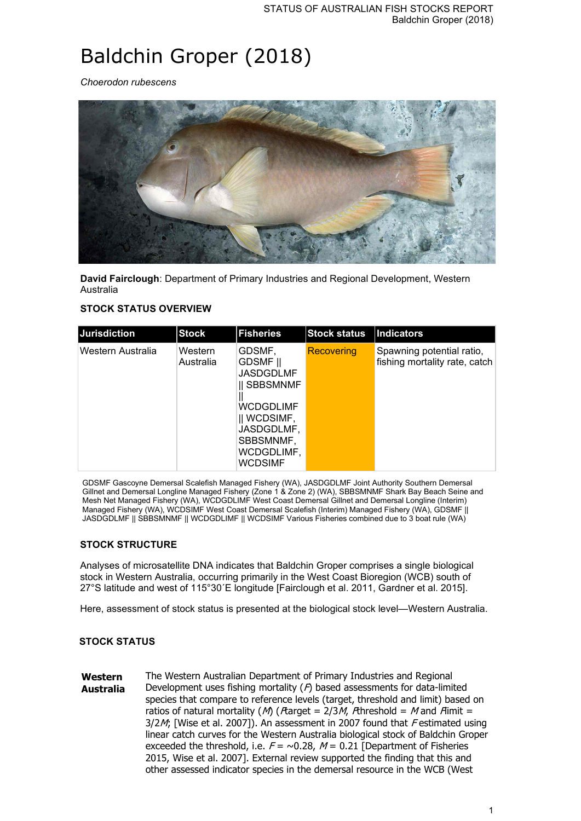# Baldchin Groper (2018)

*Choerodon rubescens*



**David Fairclough**: Department of Primary Industries and Regional Development, Western Australia

## **STOCK STATUS OVERVIEW**

| Jurisdiction      | <b>Stock</b>         | <b>Fisheries</b>                                                                                                                                             | <b>Stock status</b> | Indicators                                                 |
|-------------------|----------------------|--------------------------------------------------------------------------------------------------------------------------------------------------------------|---------------------|------------------------------------------------------------|
| Western Australia | Western<br>Australia | GDSMF,<br><b>GDSMF</b> II<br>JASDGDLMF<br><b>II SBBSMNMF</b><br>WCDGDLIMF<br>$\parallel$ WCDSIMF,<br>JASDGDLMF,<br>SBBSMNMF,<br>WCDGDLIMF,<br><b>WCDSIMF</b> | Recovering          | Spawning potential ratio,<br>fishing mortality rate, catch |

GDSMF Gascoyne Demersal Scalefish Managed Fishery (WA), JASDGDLMF Joint Authority Southern Demersal Gillnet and Demersal Longline Managed Fishery (Zone 1 & Zone 2) (WA), SBBSMNMF Shark Bay Beach Seine and Mesh Net Managed Fishery (WA), WCDGDLIMF West Coast Demersal Gillnet and Demersal Longline (Interim) Managed Fishery (WA), WCDSIMF West Coast Demersal Scalefish (Interim) Managed Fishery (WA), GDSMF || JASDGDLMF || SBBSMNMF || WCDGDLIMF || WCDSIMF Various Fisheries combined due to 3 boat rule (WA)

# **STOCK STRUCTURE**

Analyses of microsatellite DNA indicates that Baldchin Groper comprises a single biological stock in Western Australia, occurring primarily in the West Coast Bioregion (WCB) south of 27°S latitude and west of 115°30´E longitude [Fairclough et al. 2011, Gardner et al. 2015].

Here, assessment of stock status is presented at the biological stock level—Western Australia.

# **STOCK STATUS**

**Western Australia** The Western Australian Department of Primary Industries and Regional Development uses fishing mortality  $(P)$  based assessments for data-limited species that compare to reference levels (target, threshold and limit) based on ratios of natural mortality (M) (*F*target = 2/3M, *F*threshold = M and *F*limit =  $3/2M$ ; [Wise et al. 2007]). An assessment in 2007 found that Festimated using linear catch curves for the Western Australia biological stock of Baldchin Groper exceeded the threshold, i.e.  $F = \sim 0.28$ ,  $M = 0.21$  [Department of Fisheries 2015, Wise et al. 2007]. External review supported the finding that this and other assessed indicator species in the demersal resource in the WCB (West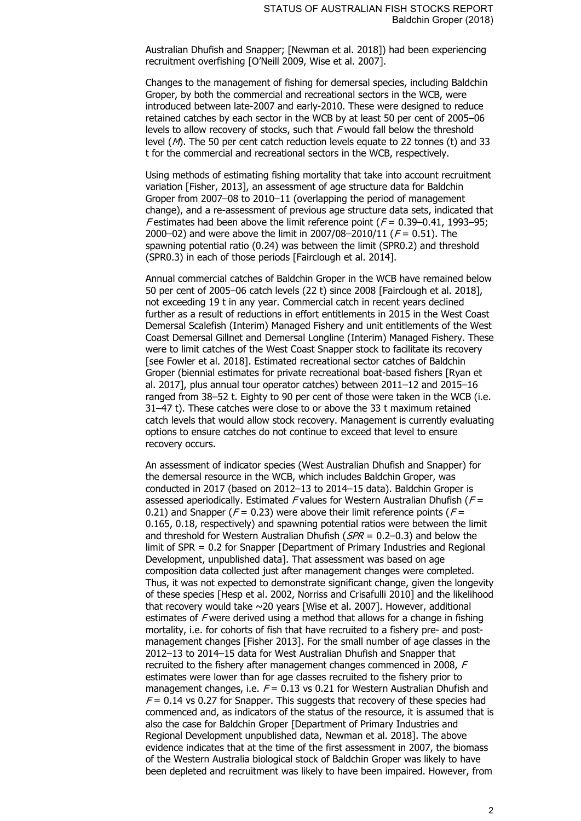Australian Dhufish and Snapper; [Newman et al. 2018]) had been experiencing recruitment overfishing [O'Neill 2009, Wise et al. 2007].

Changes to the management of fishing for demersal species, including Baldchin Groper, by both the commercial and recreational sectors in the WCB, were introduced between late-2007 and early-2010. These were designed to reduce retained catches by each sector in the WCB by at least 50 per cent of 2005–06 levels to allow recovery of stocks, such that F would fall below the threshold level (M). The 50 per cent catch reduction levels equate to 22 tonnes (t) and 33 t for the commercial and recreational sectors in the WCB, respectively.

Using methods of estimating fishing mortality that take into account recruitment variation [Fisher, 2013], an assessment of age structure data for Baldchin Groper from 2007–08 to 2010–11 (overlapping the period of management change), and a re-assessment of previous age structure data sets, indicated that F estimates had been above the limit reference point  $(F = 0.39 - 0.41, 1993 - 95)$ 2000–02) and were above the limit in 2007/08–2010/11 ( $F = 0.51$ ). The spawning potential ratio (0.24) was between the limit (SPR0.2) and threshold (SPR0.3) in each of those periods [Fairclough et al. 2014].

Annual commercial catches of Baldchin Groper in the WCB have remained below 50 per cent of 2005–06 catch levels (22 t) since 2008 [Fairclough et al. 2018], not exceeding 19 t in any year. Commercial catch in recent years declined further as a result of reductions in effort entitlements in 2015 in the West Coast Demersal Scalefish (Interim) Managed Fishery and unit entitlements of the West Coast Demersal Gillnet and Demersal Longline (Interim) Managed Fishery. These were to limit catches of the West Coast Snapper stock to facilitate its recovery [see Fowler et al. 2018]. Estimated recreational sector catches of Baldchin Groper (biennial estimates for private recreational boat-based fishers [Ryan et al. 2017], plus annual tour operator catches) between 2011–12 and 2015–16 ranged from 38–52 t. Eighty to 90 per cent of those were taken in the WCB (i.e. 31–47 t). These catches were close to or above the 33 t maximum retained catch levels that would allow stock recovery. Management is currently evaluating options to ensure catches do not continue to exceed that level to ensure recovery occurs.

An assessment of indicator species (West Australian Dhufish and Snapper) for the demersal resource in the WCB, which includes Baldchin Groper, was conducted in 2017 (based on 2012–13 to 2014–15 data). Baldchin Groper is assessed aperiodically. Estimated F values for Western Australian Dhufish ( $F =$ 0.21) and Snapper ( $F = 0.23$ ) were above their limit reference points ( $F =$ 0.165, 0.18, respectively) and spawning potential ratios were between the limit and threshold for Western Australian Dhufish ( $SPR = 0.2{\text -}0.3$ ) and below the limit of SPR = 0.2 for Snapper [Department of Primary Industries and Regional Development, unpublished data]. That assessment was based on age composition data collected just after management changes were completed. Thus, it was not expected to demonstrate significant change, given the longevity of these species [Hesp et al. 2002, Norriss and Crisafulli 2010] and the likelihood that recovery would take ~20 years [Wise et al. 2007]. However, additional estimates of F were derived using a method that allows for a change in fishing mortality, i.e. for cohorts of fish that have recruited to a fishery pre- and postmanagement changes [Fisher 2013]. For the small number of age classes in the 2012–13 to 2014–15 data for West Australian Dhufish and Snapper that recruited to the fishery after management changes commenced in 2008, F estimates were lower than for age classes recruited to the fishery prior to management changes, i.e.  $F = 0.13$  vs 0.21 for Western Australian Dhufish and  $F = 0.14$  vs 0.27 for Snapper. This suggests that recovery of these species had commenced and, as indicators of the status of the resource, it is assumed that is also the case for Baldchin Groper [Department of Primary Industries and Regional Development unpublished data, Newman et al. 2018]. The above evidence indicates that at the time of the first assessment in 2007, the biomass of the Western Australia biological stock of Baldchin Groper was likely to have been depleted and recruitment was likely to have been impaired. However, from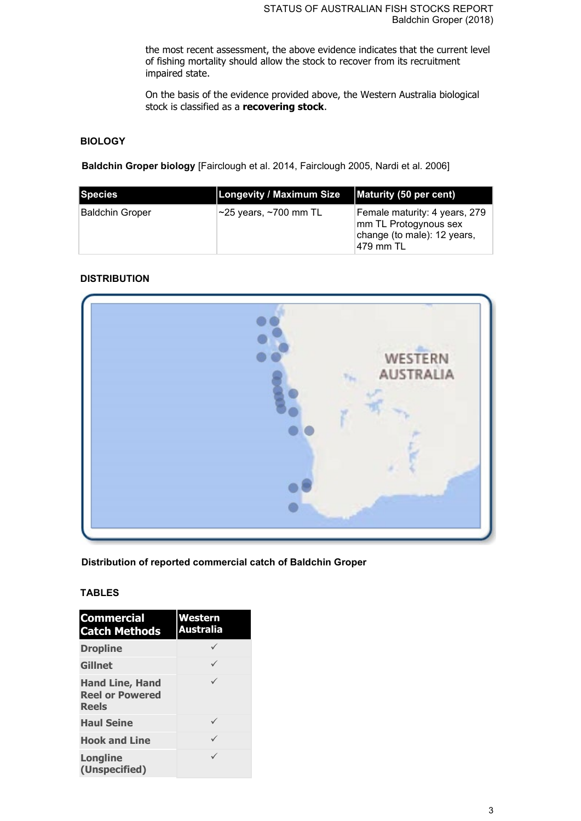the most recent assessment, the above evidence indicates that the current level of fishing mortality should allow the stock to recover from its recruitment impaired state.

On the basis of the evidence provided above, the Western Australia biological stock is classified as a **recovering stock**.

# **BIOLOGY**

**Baldchin Groper biology** [Fairclough et al. 2014, Fairclough 2005, Nardi et al. 2006]

| <b>Species</b>  | Longevity / Maximum Size          | Maturity (50 per cent)                                                                              |
|-----------------|-----------------------------------|-----------------------------------------------------------------------------------------------------|
| Baldchin Groper | $\sim$ 25 years, $\sim$ 700 mm TL | Female maturity: 4 years, 279<br>mm TL Protogynous sex<br>change (to male): 12 years,<br> 479 mm TL |

## **DISTRIBUTION**



**Distribution of reported commercial catch of Baldchin Groper**

## **TABLES**

| <b>Commercial</b><br><b>Catch Methods</b>                        | <b>Western</b><br><b>Australia</b> |
|------------------------------------------------------------------|------------------------------------|
| <b>Dropline</b>                                                  |                                    |
| <b>Gillnet</b>                                                   |                                    |
| <b>Hand Line, Hand</b><br><b>Reel or Powered</b><br><b>Reels</b> | ✓                                  |
| <b>Haul Seine</b>                                                |                                    |
| <b>Hook and Line</b>                                             | ✓                                  |
| Longline<br>(Unspecified)                                        |                                    |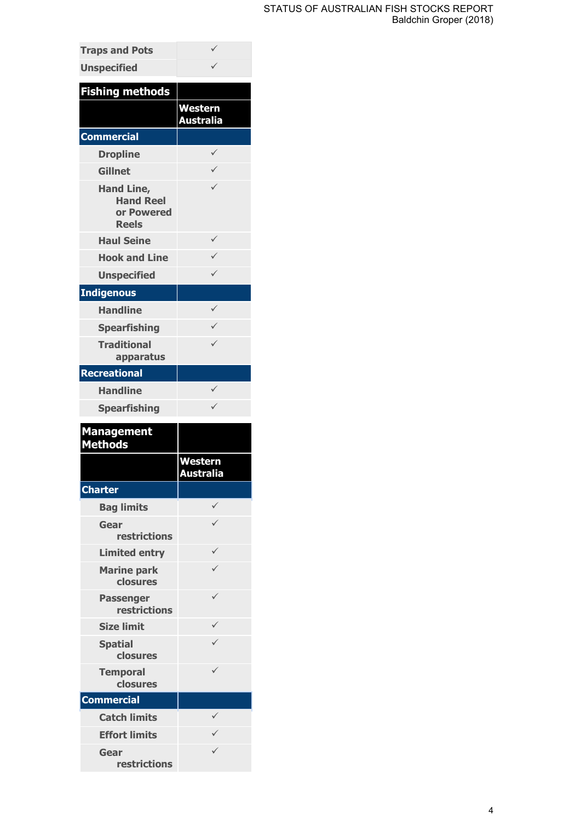| <b>Traps and Pots</b>                                               |                      |
|---------------------------------------------------------------------|----------------------|
| <b>Unspecified</b>                                                  |                      |
| <b>Fishing methods</b>                                              |                      |
|                                                                     | Western              |
|                                                                     | Australia            |
| <b>Commercial</b>                                                   |                      |
| <b>Dropline</b>                                                     | ✓                    |
| <b>Gillnet</b>                                                      | $\checkmark$         |
| <b>Hand Line,</b><br><b>Hand Reel</b><br>or Powered<br><b>Reels</b> |                      |
| <b>Haul Seine</b>                                                   | ✓                    |
| <b>Hook and Line</b>                                                |                      |
| <b>Unspecified</b>                                                  | $\checkmark$         |
| <b>Indigenous</b>                                                   |                      |
| <b>Handline</b>                                                     | ✓                    |
| <b>Spearfishing</b>                                                 | ✓                    |
| <b>Traditional</b><br>apparatus                                     | $\checkmark$         |
| <b>Recreational</b>                                                 |                      |
| <b>Handline</b>                                                     | ✓                    |
| <b>Spearfishing</b>                                                 | ✓                    |
| <b>Management</b><br><b>Methods</b>                                 |                      |
|                                                                     |                      |
|                                                                     | Western<br>Australia |
| <b>Charter</b>                                                      |                      |
| <b>Bag limits</b>                                                   | ✓                    |
| Gear                                                                |                      |
| <b>restrictions</b>                                                 |                      |
| <b>Limited entry</b>                                                |                      |
| <b>Marine park</b><br>closures                                      |                      |
| <b>Passenger</b><br>restrictions                                    |                      |
| <b>Size limit</b>                                                   |                      |
| <b>Spatial</b><br>closures                                          |                      |
| <b>Temporal</b><br>closures                                         | ✓                    |
| <b>Commercial</b>                                                   |                      |
| <b>Catch limits</b>                                                 | ✓                    |
| <b>Effort limits</b>                                                |                      |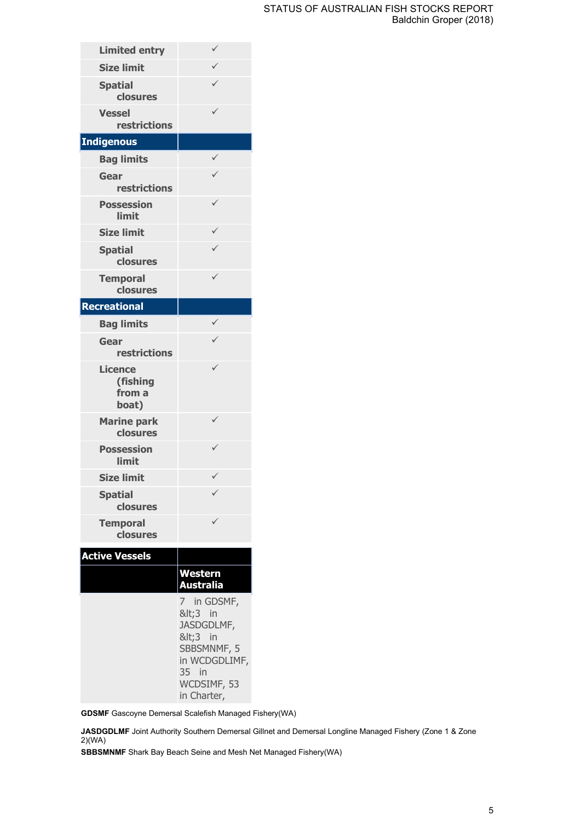| <b>Limited entry</b>                          | ✓                                                                                                                  |
|-----------------------------------------------|--------------------------------------------------------------------------------------------------------------------|
| <b>Size limit</b>                             | $\checkmark$                                                                                                       |
| <b>Spatial</b><br>closures                    | ✓                                                                                                                  |
| <b>Vessel</b><br><b>restrictions</b>          |                                                                                                                    |
| <b>Indigenous</b>                             |                                                                                                                    |
| <b>Bag limits</b>                             | ✓                                                                                                                  |
| Gear<br>restrictions                          |                                                                                                                    |
| <b>Possession</b><br>limit                    |                                                                                                                    |
| <b>Size limit</b>                             | ✓                                                                                                                  |
| <b>Spatial</b><br>closures                    | $\checkmark$                                                                                                       |
| <b>Temporal</b><br>closures                   | ✓                                                                                                                  |
| <b>Recreational</b>                           |                                                                                                                    |
| <b>Bag limits</b>                             | ✓                                                                                                                  |
| Gear<br>restrictions                          |                                                                                                                    |
| <b>Licence</b><br>(fishing<br>from a<br>boat) |                                                                                                                    |
| <b>Marine park</b><br>closures                |                                                                                                                    |
| <b>Possession</b><br>limit                    | ✓                                                                                                                  |
| <b>Size limit</b>                             | ✓                                                                                                                  |
| <b>Spatial</b><br>closures                    |                                                                                                                    |
| <b>Temporal</b><br>closures                   |                                                                                                                    |
| <b>Active Vessels</b>                         |                                                                                                                    |
|                                               | <u>Western</u><br>Australia                                                                                        |
|                                               | 7 in GDSMF,<br><3 in<br>JASDGDLMF,<br><3 in<br>SBBSMNMF, 5<br>in WCDGDLIMF,<br>35 in<br>WCDSIMF, 53<br>in Charter, |

**GDSMF** Gascoyne Demersal Scalefish Managed Fishery(WA)

**JASDGDLMF** Joint Authority Southern Demersal Gillnet and Demersal Longline Managed Fishery (Zone 1 & Zone 2)(WA)

**SBBSMNMF** Shark Bay Beach Seine and Mesh Net Managed Fishery(WA)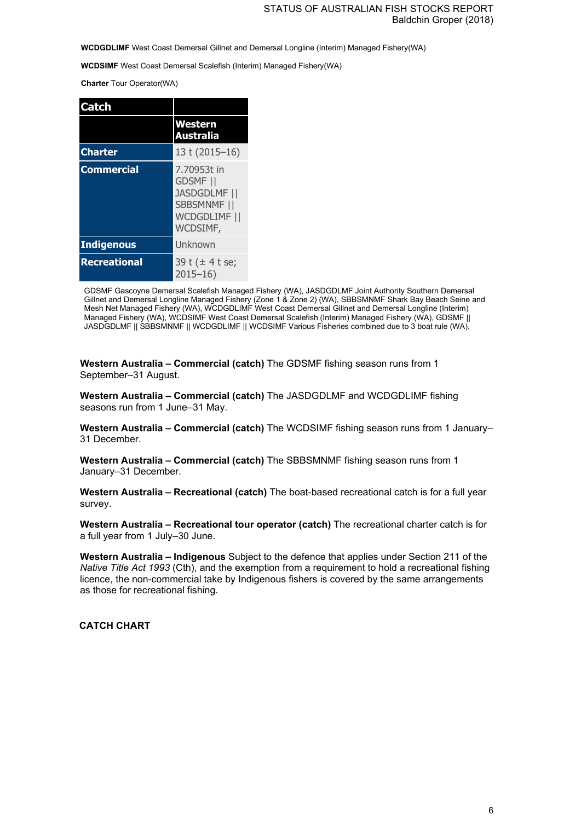**WCDGDLIMF** West Coast Demersal Gillnet and Demersal Longline (Interim) Managed Fishery(WA)

**WCDSIMF** West Coast Demersal Scalefish (Interim) Managed Fishery(WA)

**Charter** Tour Operator(WA)

| Catch               |                                                                                                  |
|---------------------|--------------------------------------------------------------------------------------------------|
|                     | <b>Western</b><br><b>Australia</b>                                                               |
| <b>Charter</b>      | 13 t (2015-16)                                                                                   |
| <b>Commercial</b>   | 7.70953t in<br><b>GDSMF</b> II<br><b>JASDGDLMF   </b><br>SBBSMNMF   <br>WCDGDLIMF   <br>WCDSIMF, |
| <b>Indigenous</b>   | Unknown                                                                                          |
| <b>Recreational</b> | 39 t (± 4 t se;<br>$2015 - 16$                                                                   |

GDSMF Gascoyne Demersal Scalefish Managed Fishery (WA), JASDGDLMF Joint Authority Southern Demersal Gillnet and Demersal Longline Managed Fishery (Zone 1 & Zone 2) (WA), SBBSMNMF Shark Bay Beach Seine and Mesh Net Managed Fishery (WA), WCDGDLIMF West Coast Demersal Gillnet and Demersal Longline (Interim) Managed Fishery (WA), WCDSIMF West Coast Demersal Scalefish (Interim) Managed Fishery (WA), GDSMF || JASDGDLMF || SBBSMNMF || WCDGDLIMF || WCDSIMF Various Fisheries combined due to 3 boat rule (WA),

**Western Australia – Commercial (catch)** The GDSMF fishing season runs from 1 September–31 August.

**Western Australia – Commercial (catch)** The JASDGDLMF and WCDGDLIMF fishing seasons run from 1 June–31 May.

**Western Australia – Commercial (catch)** The WCDSIMF fishing season runs from 1 January– 31 December.

**Western Australia – Commercial (catch)** The SBBSMNMF fishing season runs from 1 January–31 December.

**Western Australia – Recreational (catch)** The boat-based recreational catch is for a full year survey.

**Western Australia – Recreational tour operator (catch)** The recreational charter catch is for a full year from 1 July–30 June.

**Western Australia – Indigenous** Subject to the defence that applies under Section 211 of the *Native Title Act 1993* (Cth), and the exemption from a requirement to hold a recreational fishing licence, the non-commercial take by Indigenous fishers is covered by the same arrangements as those for recreational fishing.

#### **CATCH CHART**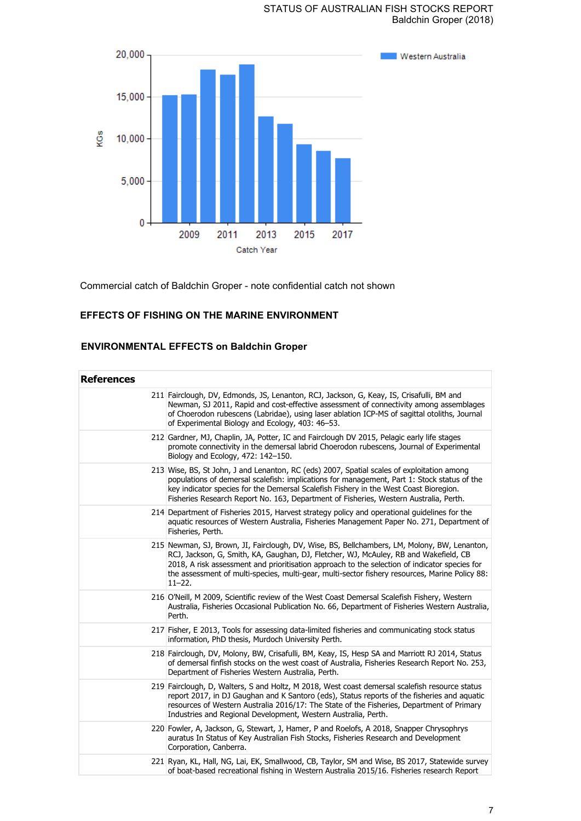

Commercial catch of Baldchin Groper - note confidential catch not shown

## **EFFECTS OF FISHING ON THE MARINE ENVIRONMENT**

# **ENVIRONMENTAL EFFECTS on Baldchin Groper**

| <b>References</b> |                                                                                                                                                                                                                                                                                                                                                                                                       |
|-------------------|-------------------------------------------------------------------------------------------------------------------------------------------------------------------------------------------------------------------------------------------------------------------------------------------------------------------------------------------------------------------------------------------------------|
|                   | 211 Fairclough, DV, Edmonds, JS, Lenanton, RCJ, Jackson, G, Keay, IS, Crisafulli, BM and<br>Newman, SJ 2011, Rapid and cost-effective assessment of connectivity among assemblages<br>of Choerodon rubescens (Labridae), using laser ablation ICP-MS of sagittal otoliths, Journal<br>of Experimental Biology and Ecology, 403: 46-53.                                                                |
|                   | 212 Gardner, MJ, Chaplin, JA, Potter, IC and Fairclough DV 2015, Pelagic early life stages<br>promote connectivity in the demersal labrid Choerodon rubescens, Journal of Experimental<br>Biology and Ecology, 472: 142-150.                                                                                                                                                                          |
|                   | 213 Wise, BS, St John, J and Lenanton, RC (eds) 2007, Spatial scales of exploitation among<br>populations of demersal scalefish: implications for management, Part 1: Stock status of the<br>key indicator species for the Demersal Scalefish Fishery in the West Coast Bioregion.<br>Fisheries Research Report No. 163, Department of Fisheries, Western Australia, Perth.                           |
|                   | 214 Department of Fisheries 2015, Harvest strategy policy and operational guidelines for the<br>aquatic resources of Western Australia, Fisheries Management Paper No. 271, Department of<br>Fisheries, Perth.                                                                                                                                                                                        |
|                   | 215 Newman, SJ, Brown, JI, Fairclough, DV, Wise, BS, Bellchambers, LM, Molony, BW, Lenanton,<br>RCJ, Jackson, G, Smith, KA, Gaughan, DJ, Fletcher, WJ, McAuley, RB and Wakefield, CB<br>2018, A risk assessment and prioritisation approach to the selection of indicator species for<br>the assessment of multi-species, multi-gear, multi-sector fishery resources, Marine Policy 88:<br>$11 - 22.$ |
|                   | 216 O'Neill, M 2009, Scientific review of the West Coast Demersal Scalefish Fishery, Western<br>Australia, Fisheries Occasional Publication No. 66, Department of Fisheries Western Australia,<br>Perth.                                                                                                                                                                                              |
|                   | 217 Fisher, E 2013, Tools for assessing data-limited fisheries and communicating stock status<br>information, PhD thesis, Murdoch University Perth.                                                                                                                                                                                                                                                   |
|                   | 218 Fairclough, DV, Molony, BW, Crisafulli, BM, Keay, IS, Hesp SA and Marriott RJ 2014, Status<br>of demersal finfish stocks on the west coast of Australia, Fisheries Research Report No. 253,<br>Department of Fisheries Western Australia, Perth.                                                                                                                                                  |
|                   | 219 Fairclough, D, Walters, S and Holtz, M 2018, West coast demersal scalefish resource status<br>report 2017, in DJ Gaughan and K Santoro (eds), Status reports of the fisheries and aquatic<br>resources of Western Australia 2016/17: The State of the Fisheries, Department of Primary<br>Industries and Regional Development, Western Australia, Perth.                                          |
|                   | 220 Fowler, A, Jackson, G, Stewart, J, Hamer, P and Roelofs, A 2018, Snapper Chrysophrys<br>auratus In Status of Key Australian Fish Stocks, Fisheries Research and Development<br>Corporation, Canberra.                                                                                                                                                                                             |
|                   | 221 Ryan, KL, Hall, NG, Lai, EK, Smallwood, CB, Taylor, SM and Wise, BS 2017, Statewide survey<br>of boat-based recreational fishing in Western Australia 2015/16. Fisheries research Report                                                                                                                                                                                                          |